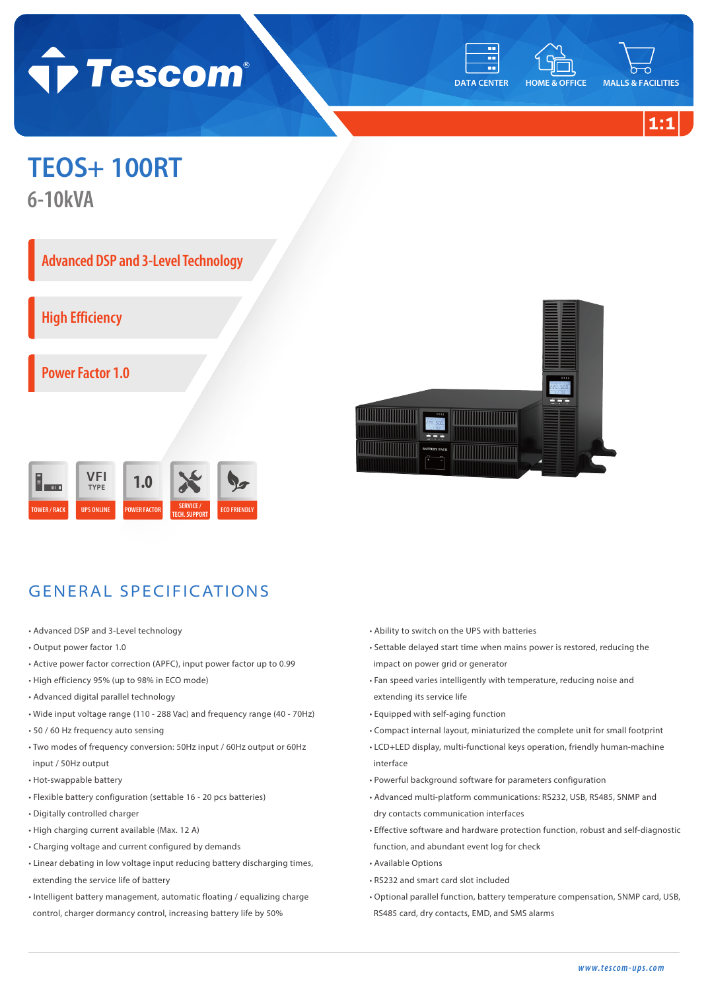



**1:1**

## **TEOS+ 100RT**

**6-10kVA**

**Advanced DSP and 3-Level Technology** 

**High Efficiency**

**Power Factor 1.0**





## GENERAL SPECIFICATIONS

- Advanced DSP and 3-Level technology
- Output power factor 1.0
- Active power factor correction (APFC), input power factor up to 0.99
- High efficiency 95% (up to 98% in ECO mode)
- Advanced digital parallel technology
- Wide input voltage range (110 288 Vac) and frequency range (40 70Hz)
- 50 / 60 Hz frequency auto sensing
- Two modes of frequency conversion: 50Hz input / 60Hz output or 60Hz input / 50Hz output
- Hot-swappable battery
- Flexible battery configuration (settable 16 20 pcs batteries)
- Digitally controlled charger
- High charging current available (Max. 12 A)
- Charging voltage and current configured by demands
- Linear debating in low voltage input reducing battery discharging times, extending the service life of battery
- Intelligent battery management, automatic floating / equalizing charge control, charger dormancy control, increasing battery life by 50%
- Ability to switch on the UPS with batteries
- Settable delayed start time when mains power is restored, reducing the impact on power grid or generator
- Fan speed varies intelligently with temperature, reducing noise and extending its service life
- Equipped with self-aging function
- Compact internal layout, miniaturized the complete unit for small footprint
- LCD+LED display, multi-functional keys operation, friendly human-machine interface
- Powerful background software for parameters configuration
- Advanced multi-platform communications: RS232, USB, RS485, SNMP and dry contacts communication interfaces
- Effective software and hardware protection function, robust and self-diagnostic function, and abundant event log for check
- Available Options
- RS232 and smart card slot included
- Optional parallel function, battery temperature compensation, SNMP card, USB, RS485 card, dry contacts, EMD, and SMS alarms